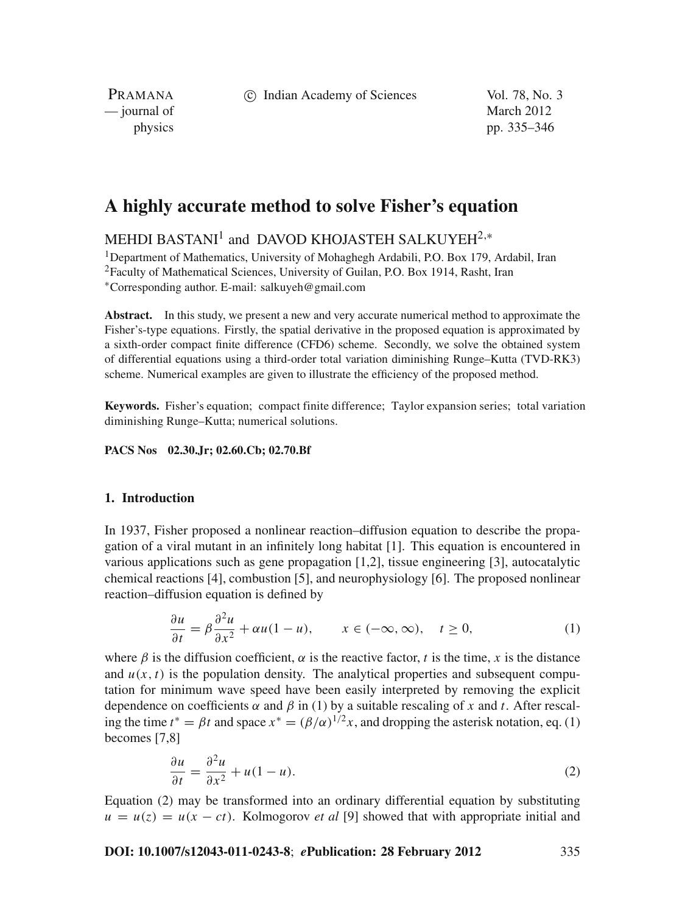c Indian Academy of Sciences Vol. 78, No. 3

PRAMANA — journal of March 2012

physics pp. 335–346

# **A highly accurate method to solve Fisher's equation**

## MEHDI BASTANI<sup>1</sup> and DAVOD KHOJASTEH SALKUYEH<sup>2,\*</sup>

<sup>1</sup>Department of Mathematics, University of Mohaghegh Ardabili, P.O. Box 179, Ardabil, Iran <sup>2</sup>Faculty of Mathematical Sciences, University of Guilan, P.O. Box 1914, Rasht, Iran <sup>∗</sup>Corresponding author. E-mail: salkuyeh@gmail.com

**Abstract.** In this study, we present a new and very accurate numerical method to approximate the Fisher's-type equations. Firstly, the spatial derivative in the proposed equation is approximated by a sixth-order compact finite difference (CFD6) scheme. Secondly, we solve the obtained system of differential equations using a third-order total variation diminishing Runge–Kutta (TVD-RK3) scheme. Numerical examples are given to illustrate the efficiency of the proposed method.

**Keywords.** Fisher's equation; compact finite difference; Taylor expansion series; total variation diminishing Runge–Kutta; numerical solutions.

**PACS Nos 02.30.Jr; 02.60.Cb; 02.70.Bf**

#### **1. Introduction**

In 1937, Fisher proposed a nonlinear reaction–diffusion equation to describe the propagation of a viral mutant in an infinitely long habitat [1]. This equation is encountered in various applications such as gene propagation [1,2], tissue engineering [3], autocatalytic chemical reactions [4], combustion [5], and neurophysiology [6]. The proposed nonlinear reaction–diffusion equation is defined by

$$
\frac{\partial u}{\partial t} = \beta \frac{\partial^2 u}{\partial x^2} + \alpha u (1 - u), \qquad x \in (-\infty, \infty), \quad t \ge 0,
$$
 (1)

where  $\beta$  is the diffusion coefficient,  $\alpha$  is the reactive factor, *t* is the time, *x* is the distance and  $u(x, t)$  is the population density. The analytical properties and subsequent computation for minimum wave speed have been easily interpreted by removing the explicit dependence on coefficients  $\alpha$  and  $\beta$  in (1) by a suitable rescaling of x and t. After rescaling the time  $t^* = \beta t$  and space  $x^* = (\beta/\alpha)^{1/2}x$ , and dropping the asterisk notation, eq. (1) becomes [7,8]

$$
\frac{\partial u}{\partial t} = \frac{\partial^2 u}{\partial x^2} + u(1 - u). \tag{2}
$$

Equation (2) may be transformed into an ordinary differential equation by substituting  $u = u(z) = u(x - ct)$ . Kolmogorov *et al* [9] showed that with appropriate initial and

#### **DOI: 10.1007/s12043-011-0243-8**; *e***Publication: 28 February 2012** 335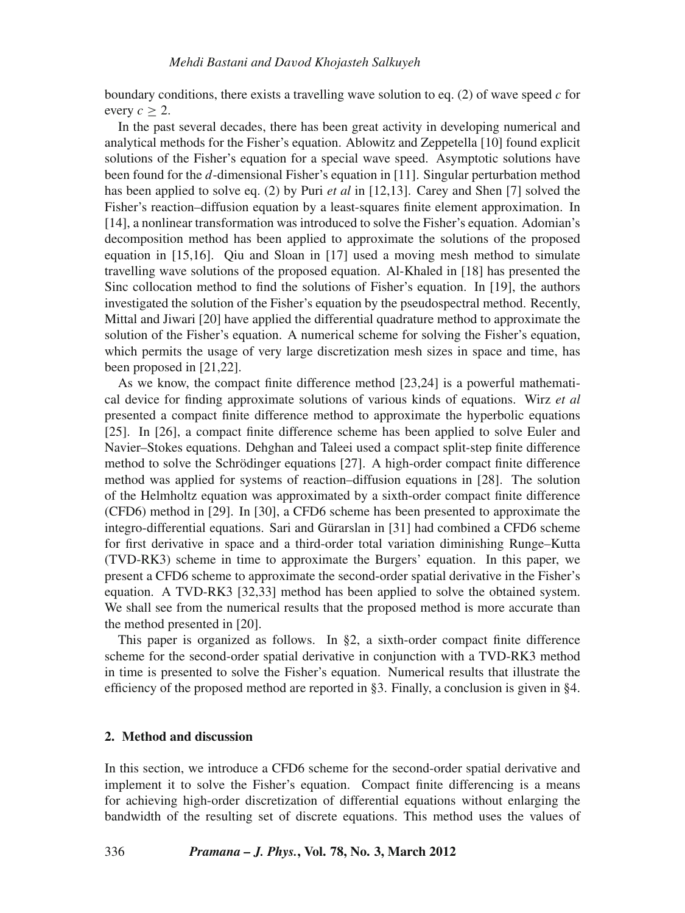boundary conditions, there exists a travelling wave solution to eq. (2) of wave speed *c* for every  $c > 2$ .

In the past several decades, there has been great activity in developing numerical and analytical methods for the Fisher's equation. Ablowitz and Zeppetella [10] found explicit solutions of the Fisher's equation for a special wave speed. Asymptotic solutions have been found for the *d*-dimensional Fisher's equation in [11]. Singular perturbation method has been applied to solve eq. (2) by Puri *et al* in [12,13]. Carey and Shen [7] solved the Fisher's reaction–diffusion equation by a least-squares finite element approximation. In [14], a nonlinear transformation was introduced to solve the Fisher's equation. Adomian's decomposition method has been applied to approximate the solutions of the proposed equation in [15,16]. Qiu and Sloan in [17] used a moving mesh method to simulate travelling wave solutions of the proposed equation. Al-Khaled in [18] has presented the Sinc collocation method to find the solutions of Fisher's equation. In [19], the authors investigated the solution of the Fisher's equation by the pseudospectral method. Recently, Mittal and Jiwari [20] have applied the differential quadrature method to approximate the solution of the Fisher's equation. A numerical scheme for solving the Fisher's equation, which permits the usage of very large discretization mesh sizes in space and time, has been proposed in [21,22].

As we know, the compact finite difference method [23,24] is a powerful mathematical device for finding approximate solutions of various kinds of equations. Wirz *et al* presented a compact finite difference method to approximate the hyperbolic equations [25]. In [26], a compact finite difference scheme has been applied to solve Euler and Navier–Stokes equations. Dehghan and Taleei used a compact split-step finite difference method to solve the Schrödinger equations [27]. A high-order compact finite difference method was applied for systems of reaction–diffusion equations in [28]. The solution of the Helmholtz equation was approximated by a sixth-order compact finite difference (CFD6) method in [29]. In [30], a CFD6 scheme has been presented to approximate the integro-differential equations. Sari and Gürarslan in [31] had combined a CFD6 scheme for first derivative in space and a third-order total variation diminishing Runge–Kutta (TVD-RK3) scheme in time to approximate the Burgers' equation. In this paper, we present a CFD6 scheme to approximate the second-order spatial derivative in the Fisher's equation. A TVD-RK3 [32,33] method has been applied to solve the obtained system. We shall see from the numerical results that the proposed method is more accurate than the method presented in [20].

This paper is organized as follows. In §2, a sixth-order compact finite difference scheme for the second-order spatial derivative in conjunction with a TVD-RK3 method in time is presented to solve the Fisher's equation. Numerical results that illustrate the efficiency of the proposed method are reported in §3. Finally, a conclusion is given in §4.

#### **2. Method and discussion**

In this section, we introduce a CFD6 scheme for the second-order spatial derivative and implement it to solve the Fisher's equation. Compact finite differencing is a means for achieving high-order discretization of differential equations without enlarging the bandwidth of the resulting set of discrete equations. This method uses the values of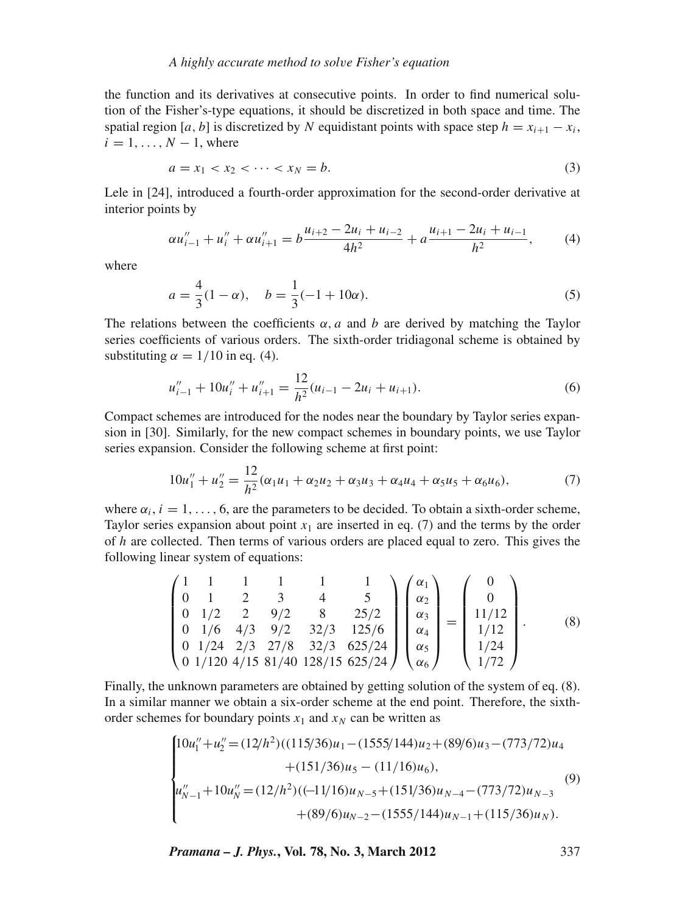the function and its derivatives at consecutive points. In order to find numerical solution of the Fisher's-type equations, it should be discretized in both space and time. The spatial region [ $a$ ,  $b$ ] is discretized by  $N$  equidistant points with space step  $h = x_{i+1} - x_i$ ,  $i = 1, \ldots, N - 1$ , where

$$
a = x_1 < x_2 < \dots < x_N = b. \tag{3}
$$

Lele in [24], introduced a fourth-order approximation for the second-order derivative at interior points by

$$
\alpha u_{i-1}'' + u_i'' + \alpha u_{i+1}'' = b \frac{u_{i+2} - 2u_i + u_{i-2}}{4h^2} + a \frac{u_{i+1} - 2u_i + u_{i-1}}{h^2},\tag{4}
$$

where

$$
a = \frac{4}{3}(1 - \alpha), \quad b = \frac{1}{3}(-1 + 10\alpha). \tag{5}
$$

The relations between the coefficients  $\alpha$ , *a* and *b* are derived by matching the Taylor series coefficients of various orders. The sixth-order tridiagonal scheme is obtained by substituting  $\alpha = 1/10$  in eq. (4).

$$
u''_{i-1} + 10u''_i + u''_{i+1} = \frac{12}{h^2}(u_{i-1} - 2u_i + u_{i+1}).
$$
\n(6)

Compact schemes are introduced for the nodes near the boundary by Taylor series expansion in [30]. Similarly, for the new compact schemes in boundary points, we use Taylor series expansion. Consider the following scheme at first point:

$$
10u_1'' + u_2'' = \frac{12}{h^2}(\alpha_1 u_1 + \alpha_2 u_2 + \alpha_3 u_3 + \alpha_4 u_4 + \alpha_5 u_5 + \alpha_6 u_6),\tag{7}
$$

where  $\alpha_i$ ,  $i = 1, \ldots, 6$ , are the parameters to be decided. To obtain a sixth-order scheme, Taylor series expansion about point  $x_1$  are inserted in eq. (7) and the terms by the order of *h* are collected. Then terms of various orders are placed equal to zero. This gives the following linear system of equations:

$$
\begin{pmatrix}\n1 & 1 & 1 & 1 & 1 & 1 \\
0 & 1 & 2 & 3 & 4 & 5 \\
0 & 1/2 & 2 & 9/2 & 8 & 25/2 \\
0 & 1/6 & 4/3 & 9/2 & 32/3 & 125/6 \\
0 & 1/24 & 2/3 & 27/8 & 32/3 & 625/24 \\
0 & 1/120 & 4/15 & 81/40 & 128/15 & 625/24\n\end{pmatrix}\n\begin{pmatrix}\n\alpha_1 \\
\alpha_2 \\
\alpha_3 \\
\alpha_4 \\
\alpha_5 \\
\alpha_6\n\end{pmatrix}\n=\n\begin{pmatrix}\n0 \\
0 \\
11/12 \\
1/12 \\
1/24 \\
1/72\n\end{pmatrix}.
$$
\n(8)

Finally, the unknown parameters are obtained by getting solution of the system of eq. (8). In a similar manner we obtain a six-order scheme at the end point. Therefore, the sixthorder schemes for boundary points  $x_1$  and  $x_N$  can be written as

$$
\begin{cases}\n10u_1'' + u_2'' = (12/h^2)((115/36)u_1 - (1555/144)u_2 + (89/6)u_3 - (773/72)u_4 \\
+ (151/36)u_5 - (11/16)u_6), \\
u_{N-1}'' + 10u_N'' = (12/h^2)((-11/16)u_{N-5} + (151/36)u_{N-4} - (773/72)u_{N-3} \\
+ (89/6)u_{N-2} - (1555/144)u_{N-1} + (115/36)u_N).\n\end{cases}
$$
\n(9)

*Pramana – J. Phys.***, Vol. 78, No. 3, March 2012** 337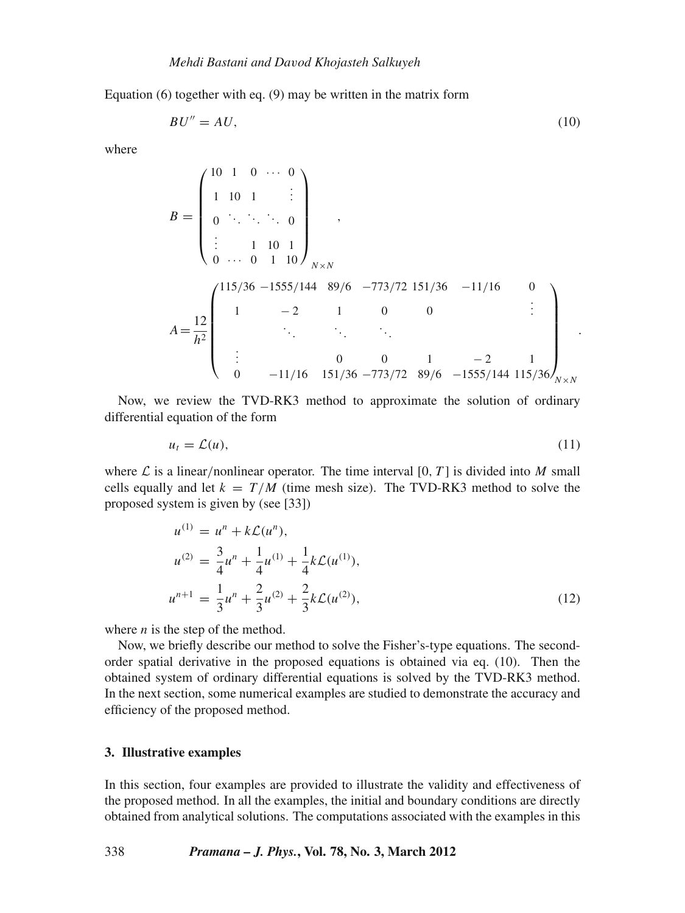Equation  $(6)$  together with eq.  $(9)$  may be written in the matrix form

$$
BU'' = AU,\tag{10}
$$

where

$$
B = \begin{pmatrix} 10 & 1 & 0 & \cdots & 0 \\ 1 & 10 & 1 & & \vdots \\ 0 & \ddots & \ddots & \ddots & 0 \\ \vdots & & 1 & 10 & 1 \\ 0 & \cdots & 0 & 1 & 10 \end{pmatrix}_{N \times N},
$$
  
\n
$$
A = \frac{12}{h^2} \begin{pmatrix} 115/36 & -1555/144 & 89/6 & -773/72 & 151/36 & -11/16 & 0 \\ 1 & -2 & 1 & 0 & 0 & \vdots \\ \vdots & & \ddots & \ddots & \ddots & \vdots \\ 0 & -11/16 & 151/36 & -773/72 & 89/6 & -1555/144 & 115/36 \end{pmatrix}_{N \times N}.
$$

Now, we review the TVD-RK3 method to approximate the solution of ordinary differential equation of the form

$$
u_t = \mathcal{L}(u),\tag{11}
$$

where  $\mathcal L$  is a linear/nonlinear operator. The time interval [0, *T*] is divided into *M* small cells equally and let  $k = T/M$  (time mesh size). The TVD-RK3 method to solve the proposed system is given by (see [33])

$$
u^{(1)} = u^n + k\mathcal{L}(u^n),
$$
  
\n
$$
u^{(2)} = \frac{3}{4}u^n + \frac{1}{4}u^{(1)} + \frac{1}{4}k\mathcal{L}(u^{(1)}),
$$
  
\n
$$
u^{n+1} = \frac{1}{3}u^n + \frac{2}{3}u^{(2)} + \frac{2}{3}k\mathcal{L}(u^{(2)}),
$$
\n(12)

where *n* is the step of the method.

Now, we briefly describe our method to solve the Fisher's-type equations. The secondorder spatial derivative in the proposed equations is obtained via eq. (10). Then the obtained system of ordinary differential equations is solved by the TVD-RK3 method. In the next section, some numerical examples are studied to demonstrate the accuracy and efficiency of the proposed method.

#### **3. Illustrative examples**

In this section, four examples are provided to illustrate the validity and effectiveness of the proposed method. In all the examples, the initial and boundary conditions are directly obtained from analytical solutions. The computations associated with the examples in this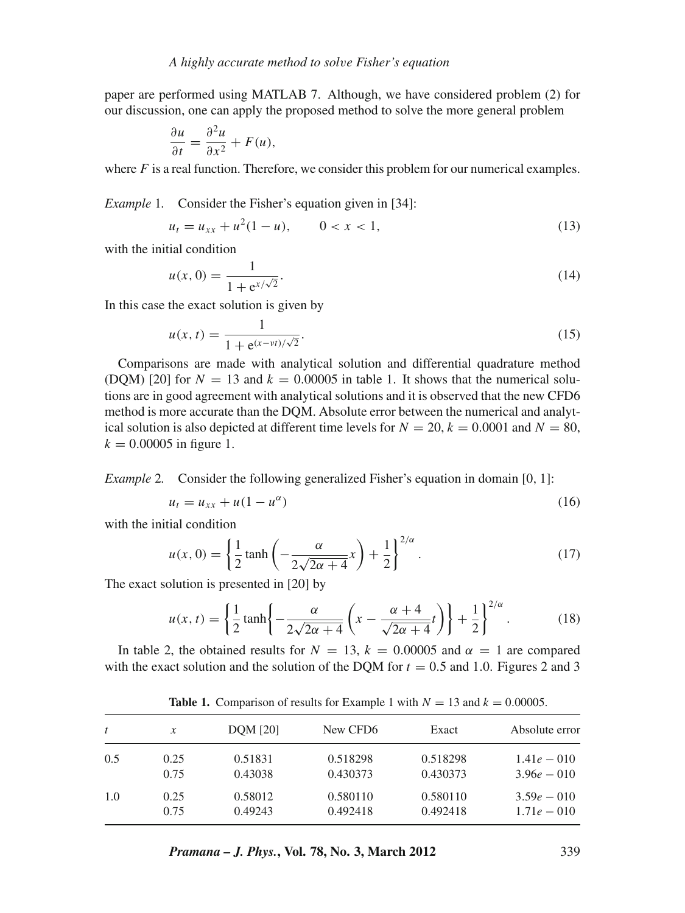paper are performed using MATLAB 7. Although, we have considered problem (2) for our discussion, one can apply the proposed method to solve the more general problem

$$
\frac{\partial u}{\partial t} = \frac{\partial^2 u}{\partial x^2} + F(u),
$$

where  $F$  is a real function. Therefore, we consider this problem for our numerical examples.

*Example* 1. Consider the Fisher's equation given in [34]:

$$
u_t = u_{xx} + u^2(1 - u), \qquad 0 < x < 1,\tag{13}
$$

with the initial condition

$$
u(x, 0) = \frac{1}{1 + e^{x/\sqrt{2}}}.
$$
\n(14)

In this case the exact solution is given by

$$
u(x,t) = \frac{1}{1 + e^{(x - vt)/\sqrt{2}}}.
$$
\n(15)

Comparisons are made with analytical solution and differential quadrature method (DQM) [20] for  $N = 13$  and  $k = 0.00005$  in table 1. It shows that the numerical solutions are in good agreement with analytical solutions and it is observed that the new CFD6 method is more accurate than the DQM. Absolute error between the numerical and analytical solution is also depicted at different time levels for  $N = 20$ ,  $k = 0.0001$  and  $N = 80$ ,  $k = 0.00005$  in figure 1.

#### *Example* 2. Consider the following generalized Fisher's equation in domain [0, 1]:

$$
u_t = u_{xx} + u(1 - u^{\alpha})
$$
\n<sup>(16)</sup>

with the initial condition

$$
u(x, 0) = \left\{ \frac{1}{2} \tanh\left(-\frac{\alpha}{2\sqrt{2\alpha + 4}}x\right) + \frac{1}{2} \right\}^{2/\alpha}.
$$
 (17)

The exact solution is presented in [20] by

$$
u(x,t) = \left\{\frac{1}{2}\tanh\left\{-\frac{\alpha}{2\sqrt{2\alpha+4}}\left(x-\frac{\alpha+4}{\sqrt{2\alpha+4}}t\right)\right\} + \frac{1}{2}\right\}^{2/\alpha}.
$$
 (18)

In table 2, the obtained results for  $N = 13$ ,  $k = 0.00005$  and  $\alpha = 1$  are compared with the exact solution and the solution of the DOM for  $t = 0.5$  and 1.0. Figures 2 and 3

| $\boldsymbol{t}$ | x    | <b>DOM</b> [20] | New CFD <sub>6</sub> | Exact    | Absolute error |
|------------------|------|-----------------|----------------------|----------|----------------|
| 0.5              | 0.25 | 0.51831         | 0.518298             | 0.518298 | $1.41e - 010$  |
|                  | 0.75 | 0.43038         | 0.430373             | 0.430373 | $3.96e - 010$  |
| 1.0              | 0.25 | 0.58012         | 0.580110             | 0.580110 | $3.59e - 010$  |
|                  | 0.75 | 0.49243         | 0.492418             | 0.492418 | $1.71e - 010$  |

**Table 1.** Comparison of results for Example 1 with  $N = 13$  and  $k = 0.00005$ .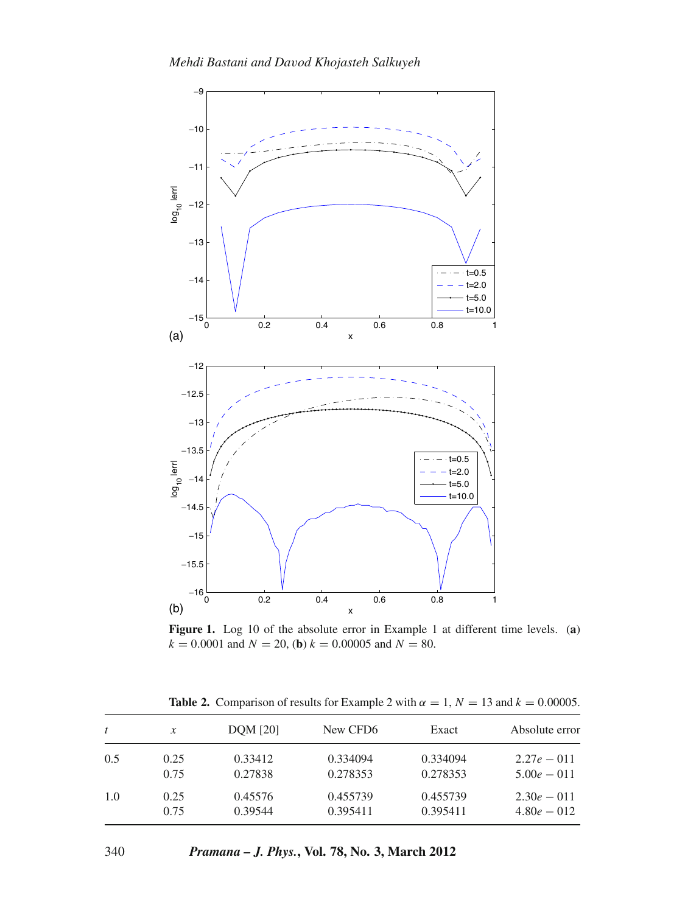

**Figure 1.** Log 10 of the absolute error in Example 1 at different time levels. (**a**)  $k = 0.0001$  and  $N = 20$ , (**b**)  $k = 0.00005$  and  $N = 80$ .

| t   | $\mathcal{X}$ | <b>DOM</b> [20] | New CFD <sub>6</sub> | Exact    | Absolute error |
|-----|---------------|-----------------|----------------------|----------|----------------|
| 0.5 | 0.25          | 0.33412         | 0.334094             | 0.334094 | $2.27e - 011$  |
|     | 0.75          | 0.27838         | 0.278353             | 0.278353 | $5.00e - 011$  |
| 1.0 | 0.25          | 0.45576         | 0.455739             | 0.455739 | $2.30e - 011$  |
|     | 0.75          | 0.39544         | 0.395411             | 0.395411 | $4.80e - 012$  |

**Table 2.** Comparison of results for Example 2 with  $\alpha = 1$ ,  $N = 13$  and  $k = 0.00005$ .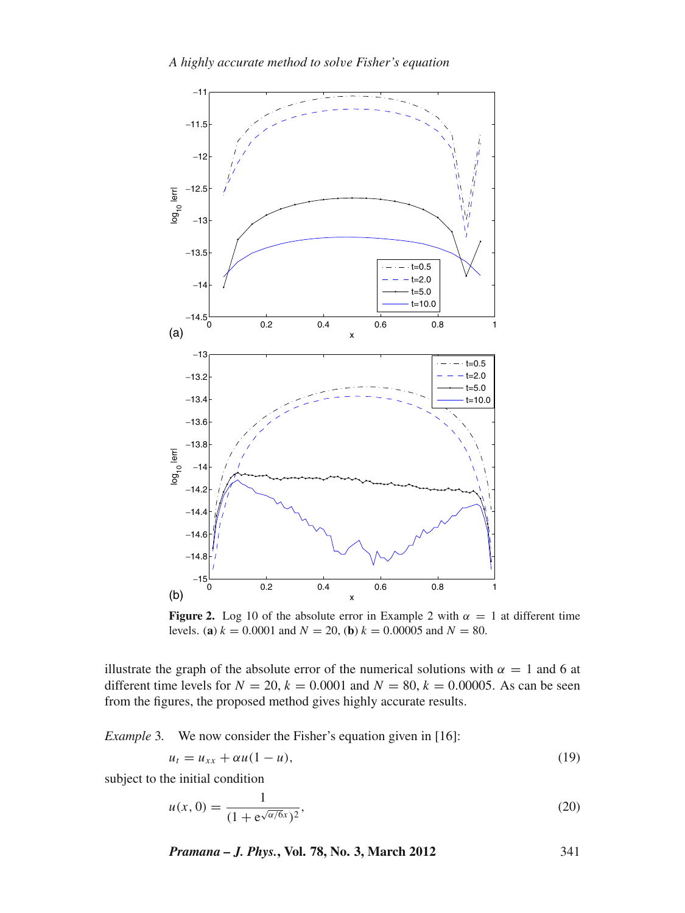

**Figure 2.** Log 10 of the absolute error in Example 2 with  $\alpha = 1$  at different time levels. (**a**)  $k = 0.0001$  and  $N = 20$ , (**b**)  $k = 0.00005$  and  $N = 80$ .

illustrate the graph of the absolute error of the numerical solutions with  $\alpha = 1$  and 6 at different time levels for  $N = 20$ ,  $k = 0.0001$  and  $N = 80$ ,  $k = 0.00005$ . As can be seen from the figures, the proposed method gives highly accurate results.

*Example* 3*.* We now consider the Fisher's equation given in [16]:

$$
u_t = u_{xx} + \alpha u (1 - u), \tag{19}
$$

subject to the initial condition

$$
u(x, 0) = \frac{1}{(1 + e^{\sqrt{\alpha/\delta}x})^2},
$$
\n(20)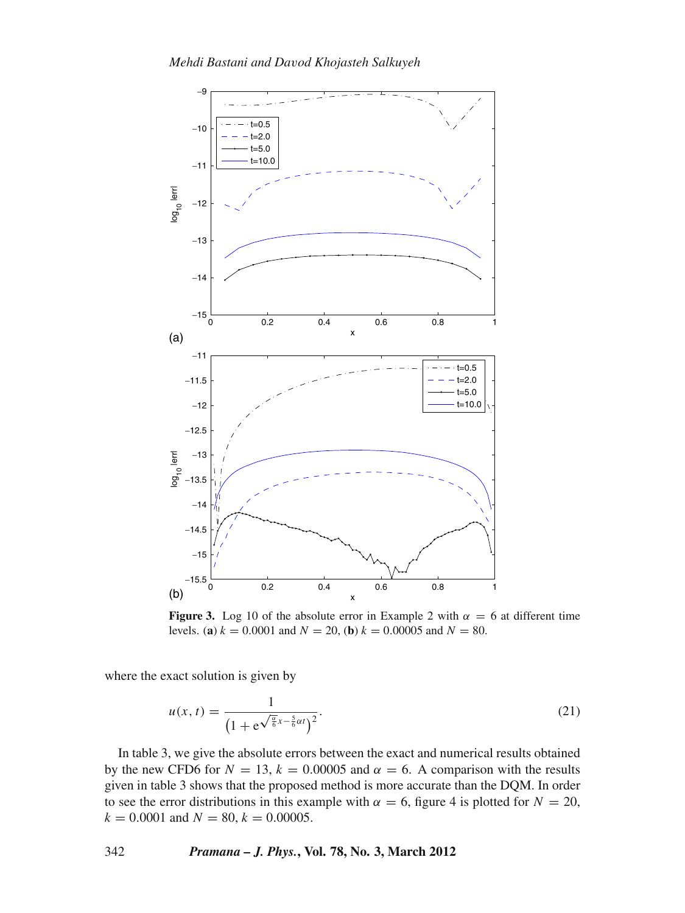

**Figure 3.** Log 10 of the absolute error in Example 2 with  $\alpha = 6$  at different time levels. (**a**)  $k = 0.0001$  and  $N = 20$ , (**b**)  $k = 0.00005$  and  $N = 80$ .

where the exact solution is given by

$$
u(x,t) = \frac{1}{\left(1 + e^{\sqrt{\frac{\alpha}{6}}x - \frac{5}{6}\alpha t}\right)^2}.
$$
\n(21)

In table 3, we give the absolute errors between the exact and numerical results obtained by the new CFD6 for  $N = 13$ ,  $k = 0.00005$  and  $\alpha = 6$ . A comparison with the results given in table 3 shows that the proposed method is more accurate than the DQM. In order to see the error distributions in this example with  $\alpha = 6$ , figure 4 is plotted for  $N = 20$ ,  $k = 0.0001$  and  $N = 80$ ,  $k = 0.00005$ .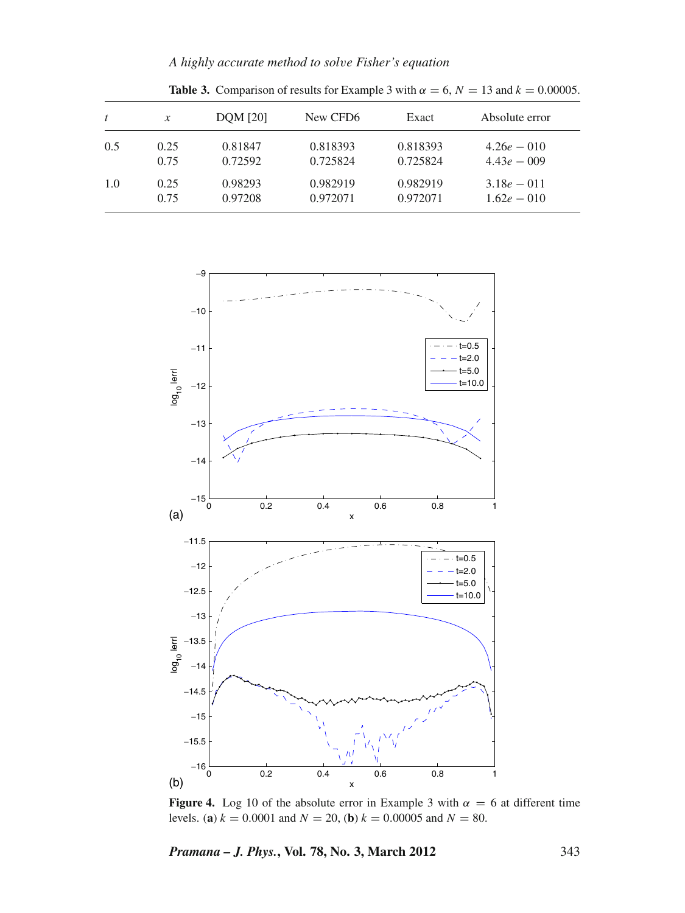*A highly accurate method to sol*v*e Fisher's equation*

| t   | $\mathcal{X}$ | <b>DOM</b> [20] | New CFD <sub>6</sub> | Exact    | Absolute error |
|-----|---------------|-----------------|----------------------|----------|----------------|
| 0.5 | 0.25          | 0.81847         | 0.818393             | 0.818393 | $4.26e - 010$  |
|     | 0.75          | 0.72592         | 0.725824             | 0.725824 | $4.43e - 009$  |
| 1.0 | 0.25          | 0.98293         | 0.982919             | 0.982919 | $3.18e - 011$  |
|     | 0.75          | 0.97208         | 0.972071             | 0.972071 | $1.62e - 010$  |

**Table 3.** Comparison of results for Example 3 with  $\alpha = 6$ ,  $N = 13$  and  $k = 0.00005$ .



**Figure 4.** Log 10 of the absolute error in Example 3 with  $\alpha = 6$  at different time levels. (**a**)  $k = 0.0001$  and  $N = 20$ , (**b**)  $k = 0.00005$  and  $N = 80$ .

*Pramana – J. Phys.***, Vol. 78, No. 3, March 2012** 343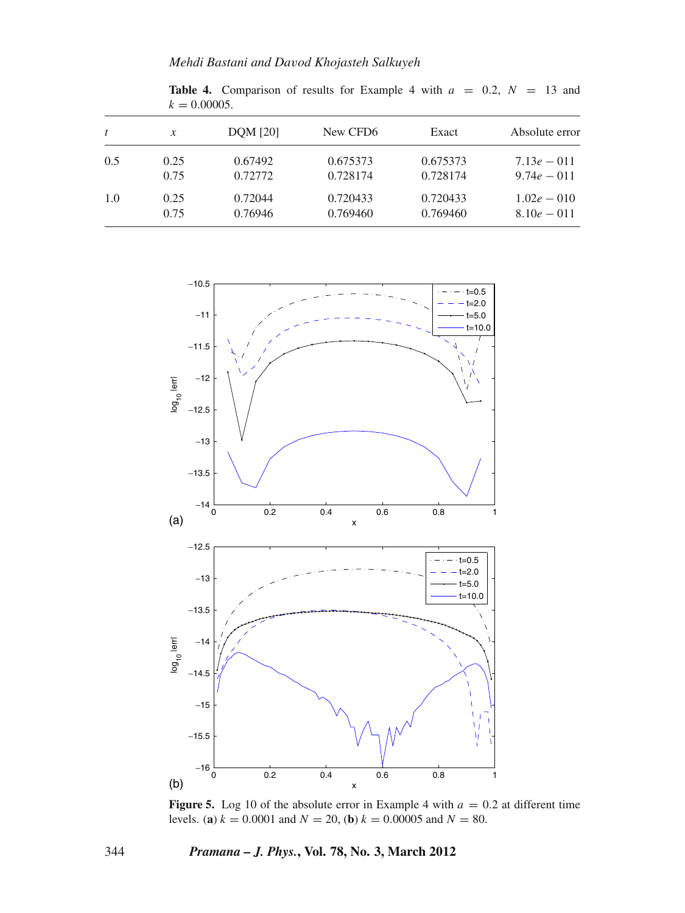|     | $N = 0.0000J$    |                 |                      |          |                |  |
|-----|------------------|-----------------|----------------------|----------|----------------|--|
| t   | $\boldsymbol{x}$ | <b>DOM</b> [20] | New CFD <sub>6</sub> | Exact    | Absolute error |  |
| 0.5 | 0.25             | 0.67492         | 0.675373             | 0.675373 | $7.13e - 011$  |  |
|     | 0.75             | 0.72772         | 0.728174             | 0.728174 | $9.74e - 011$  |  |
| 1.0 | 0.25             | 0.72044         | 0.720433             | 0.720433 | $1.02e - 010$  |  |
|     | 0.75             | 0.76946         | 0.769460             | 0.769460 | $8.10e - 011$  |  |



**Table 4.** Comparison of results for Example 4 with  $a = 0.2$ ,  $N = 13$  and  $k = 0.00005$ 

**Figure 5.** Log 10 of the absolute error in Example 4 with  $a = 0.2$  at different time levels. (**a**)  $k = 0.0001$  and  $N = 20$ , (**b**)  $k = 0.00005$  and  $N = 80$ .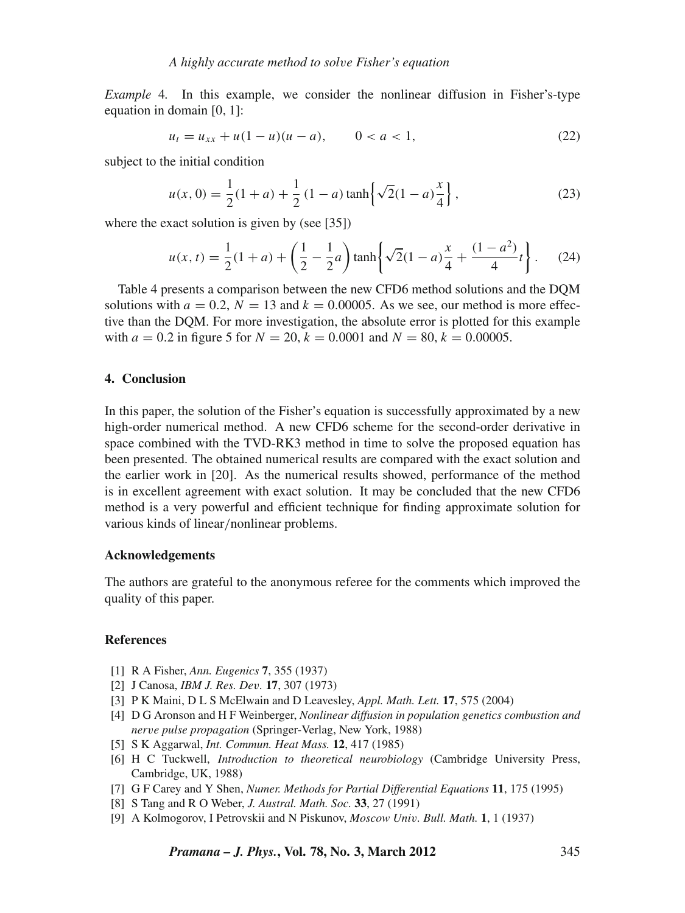*Example* 4*.* In this example, we consider the nonlinear diffusion in Fisher's-type equation in domain [0, 1]:

$$
u_t = u_{xx} + u(1 - u)(u - a), \qquad 0 < a < 1,\tag{22}
$$

subject to the initial condition

$$
u(x, 0) = \frac{1}{2}(1+a) + \frac{1}{2}(1-a)\tanh\left\{\sqrt{2}(1-a)\frac{x}{4}\right\},\tag{23}
$$

where the exact solution is given by (see [35])

$$
u(x,t) = \frac{1}{2}(1+a) + \left(\frac{1}{2} - \frac{1}{2}a\right)\tanh\left\{\sqrt{2}(1-a)\frac{x}{4} + \frac{(1-a^2)}{4}t\right\}.
$$
 (24)

Table 4 presents a comparison between the new CFD6 method solutions and the DQM solutions with  $a = 0.2$ ,  $N = 13$  and  $k = 0.00005$ . As we see, our method is more effective than the DQM. For more investigation, the absolute error is plotted for this example with  $a = 0.2$  in figure 5 for  $N = 20$ ,  $k = 0.0001$  and  $N = 80$ ,  $k = 0.00005$ .

### **4. Conclusion**

In this paper, the solution of the Fisher's equation is successfully approximated by a new high-order numerical method. A new CFD6 scheme for the second-order derivative in space combined with the TVD-RK3 method in time to solve the proposed equation has been presented. The obtained numerical results are compared with the exact solution and the earlier work in [20]. As the numerical results showed, performance of the method is in excellent agreement with exact solution. It may be concluded that the new CFD6 method is a very powerful and efficient technique for finding approximate solution for various kinds of linear/nonlinear problems.

#### **Acknowledgements**

The authors are grateful to the anonymous referee for the comments which improved the quality of this paper.

#### **References**

- [1] R A Fisher, *Ann. Eugenics* **7**, 355 (1937)
- [2] J Canosa, *IBM J. Res. De*v*.* **17**, 307 (1973)
- [3] P K Maini, D L S McElwain and D Leavesley, *Appl. Math. Lett.* **17**, 575 (2004)
- [4] D G Aronson and H F Weinberger, *Nonlinear diffusion in population genetics combustion and ner*v*e pulse propagation* (Springer-Verlag, New York, 1988)
- [5] S K Aggarwal, *Int. Commun. Heat Mass.* **12**, 417 (1985)
- [6] H C Tuckwell, *Introduction to theoretical neurobiology* (Cambridge University Press, Cambridge, UK, 1988)
- [7] G F Carey and Y Shen, *Numer. Methods for Partial Differential Equations* **11**, 175 (1995)
- [8] S Tang and R O Weber, *J. Austral. Math. Soc.* **33**, 27 (1991)
- [9] A Kolmogorov, I Petrovskii and N Piskunov, *Moscow Uni*v*. Bull. Math.* **1**, 1 (1937)